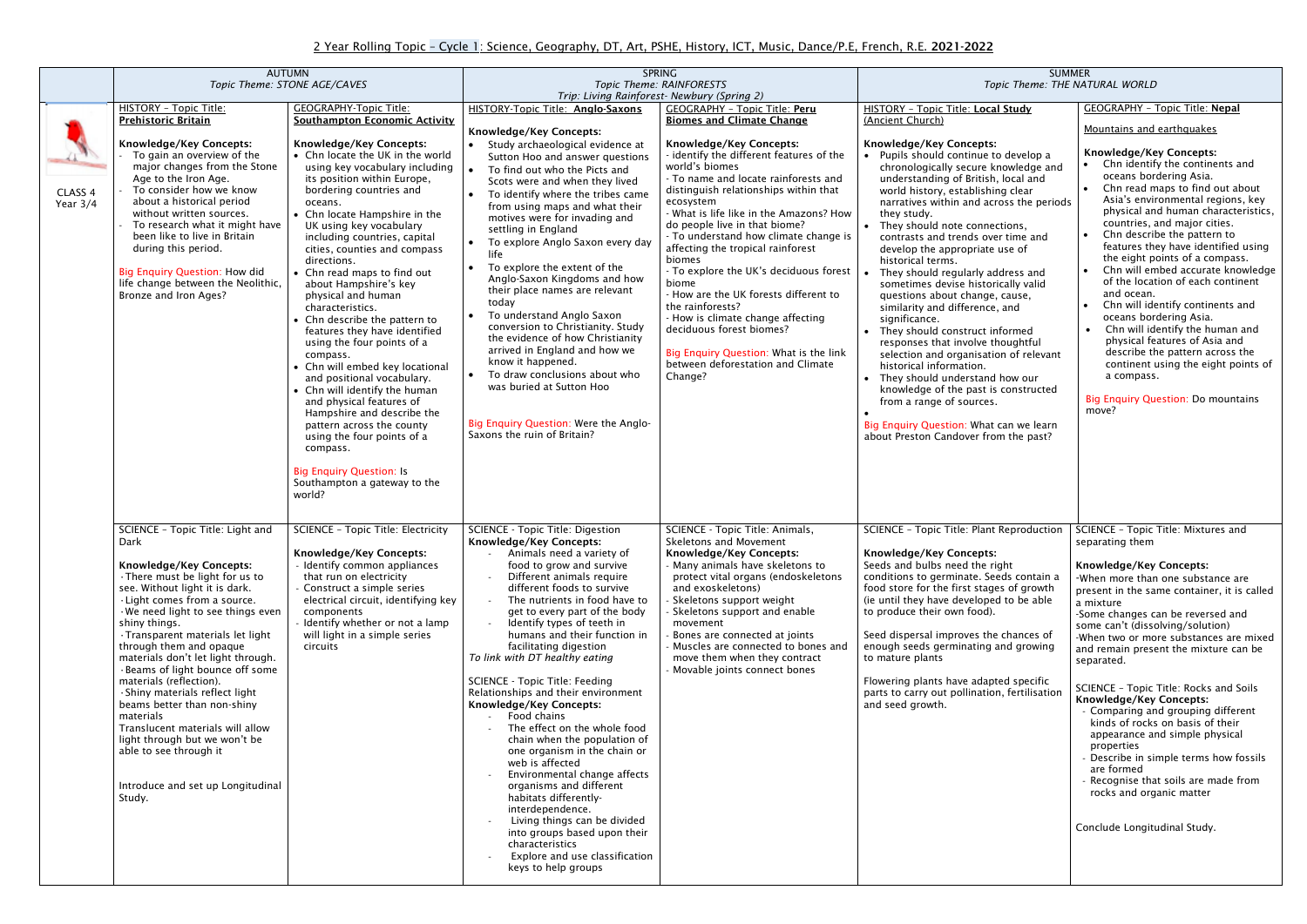|                       | <b>AUTUMN</b><br>Topic Theme: STONE AGE/CAVES                                                                                                                                                                                                                                                                                                                                                                                                                                                                                                                                                                                          |                                                                                                                                                                                                                                                                                                                                                                                                                                                                                                                                                                                                                                                                                                                                                                                                                                                    | <b>SPRING</b><br>Topic Theme: RAINFORESTS                                                                                                                                                                                                                                                                                                                                                                                                                                                                                                                                                                                                                                                                                                                                                                                                                                           |                                                                                                                                                                                                                                                                                                                                                                                                                                                                                                                                                                                                                                           | <b>SUMMER</b><br>Topic Theme: THE NATURAL WORLD                                                                                                                                                                                                                                                                                                                                                                                                                                                                                                                                                                                                                                                                                                                                                                                                                                      |                                                                                                                                                                                                                                                                                                                                                                                                                                                                                                                                                                                                                                                                                                                     |
|-----------------------|----------------------------------------------------------------------------------------------------------------------------------------------------------------------------------------------------------------------------------------------------------------------------------------------------------------------------------------------------------------------------------------------------------------------------------------------------------------------------------------------------------------------------------------------------------------------------------------------------------------------------------------|----------------------------------------------------------------------------------------------------------------------------------------------------------------------------------------------------------------------------------------------------------------------------------------------------------------------------------------------------------------------------------------------------------------------------------------------------------------------------------------------------------------------------------------------------------------------------------------------------------------------------------------------------------------------------------------------------------------------------------------------------------------------------------------------------------------------------------------------------|-------------------------------------------------------------------------------------------------------------------------------------------------------------------------------------------------------------------------------------------------------------------------------------------------------------------------------------------------------------------------------------------------------------------------------------------------------------------------------------------------------------------------------------------------------------------------------------------------------------------------------------------------------------------------------------------------------------------------------------------------------------------------------------------------------------------------------------------------------------------------------------|-------------------------------------------------------------------------------------------------------------------------------------------------------------------------------------------------------------------------------------------------------------------------------------------------------------------------------------------------------------------------------------------------------------------------------------------------------------------------------------------------------------------------------------------------------------------------------------------------------------------------------------------|--------------------------------------------------------------------------------------------------------------------------------------------------------------------------------------------------------------------------------------------------------------------------------------------------------------------------------------------------------------------------------------------------------------------------------------------------------------------------------------------------------------------------------------------------------------------------------------------------------------------------------------------------------------------------------------------------------------------------------------------------------------------------------------------------------------------------------------------------------------------------------------|---------------------------------------------------------------------------------------------------------------------------------------------------------------------------------------------------------------------------------------------------------------------------------------------------------------------------------------------------------------------------------------------------------------------------------------------------------------------------------------------------------------------------------------------------------------------------------------------------------------------------------------------------------------------------------------------------------------------|
|                       |                                                                                                                                                                                                                                                                                                                                                                                                                                                                                                                                                                                                                                        |                                                                                                                                                                                                                                                                                                                                                                                                                                                                                                                                                                                                                                                                                                                                                                                                                                                    | Trip: Living Rainforest- Newbury (Spring 2)                                                                                                                                                                                                                                                                                                                                                                                                                                                                                                                                                                                                                                                                                                                                                                                                                                         |                                                                                                                                                                                                                                                                                                                                                                                                                                                                                                                                                                                                                                           |                                                                                                                                                                                                                                                                                                                                                                                                                                                                                                                                                                                                                                                                                                                                                                                                                                                                                      |                                                                                                                                                                                                                                                                                                                                                                                                                                                                                                                                                                                                                                                                                                                     |
|                       | HISTORY - Topic Title:                                                                                                                                                                                                                                                                                                                                                                                                                                                                                                                                                                                                                 | <b>GEOGRAPHY-Topic Title:</b>                                                                                                                                                                                                                                                                                                                                                                                                                                                                                                                                                                                                                                                                                                                                                                                                                      | <b>HISTORY-Topic Title: Anglo-Saxons</b>                                                                                                                                                                                                                                                                                                                                                                                                                                                                                                                                                                                                                                                                                                                                                                                                                                            | <b>GEOGRAPHY - Topic Title: Peru</b>                                                                                                                                                                                                                                                                                                                                                                                                                                                                                                                                                                                                      | <b>HISTORY - Topic Title: Local Study</b>                                                                                                                                                                                                                                                                                                                                                                                                                                                                                                                                                                                                                                                                                                                                                                                                                                            | <b>GEOGRAPHY - Topic Title: Nepal</b>                                                                                                                                                                                                                                                                                                                                                                                                                                                                                                                                                                                                                                                                               |
|                       | <b>Prehistoric Britain</b>                                                                                                                                                                                                                                                                                                                                                                                                                                                                                                                                                                                                             | <b>Southampton Economic Activity</b>                                                                                                                                                                                                                                                                                                                                                                                                                                                                                                                                                                                                                                                                                                                                                                                                               | Knowledge/Key Concepts:                                                                                                                                                                                                                                                                                                                                                                                                                                                                                                                                                                                                                                                                                                                                                                                                                                                             | <b>Biomes and Climate Change</b>                                                                                                                                                                                                                                                                                                                                                                                                                                                                                                                                                                                                          | (Ancient Church)                                                                                                                                                                                                                                                                                                                                                                                                                                                                                                                                                                                                                                                                                                                                                                                                                                                                     | Mountains and earthquakes                                                                                                                                                                                                                                                                                                                                                                                                                                                                                                                                                                                                                                                                                           |
| CLASS 4<br>Year $3/4$ | <b>Knowledge/Key Concepts:</b><br>To gain an overview of the<br>major changes from the Stone<br>Age to the Iron Age.<br>To consider how we know<br>about a historical period<br>without written sources.<br>To research what it might have<br>been like to live in Britain<br>during this period.<br><b>Big Enquiry Question: How did</b><br>life change between the Neolithic,<br>Bronze and Iron Ages?                                                                                                                                                                                                                               | <b>Knowledge/Key Concepts:</b><br>• Chn locate the UK in the world<br>using key vocabulary including<br>its position within Europe,<br>bordering countries and<br>oceans.<br>• Chn locate Hampshire in the<br>UK using key vocabulary<br>including countries, capital<br>cities, counties and compass<br>directions.<br>• Chn read maps to find out<br>about Hampshire's key<br>physical and human<br>characteristics.<br>• Chn describe the pattern to<br>features they have identified<br>using the four points of a<br>compass.<br>• Chn will embed key locational<br>and positional vocabulary.<br>• Chn will identify the human<br>and physical features of<br>Hampshire and describe the<br>pattern across the county<br>using the four points of a<br>compass.<br><b>Big Enquiry Question: Is</b><br>Southampton a gateway to the<br>world? | • Study archaeological evidence at<br>Sutton Hoo and answer questions<br>To find out who the Picts and<br>Scots were and when they lived<br>To identify where the tribes came<br>from using maps and what their<br>motives were for invading and<br>settling in England<br>To explore Anglo Saxon every day<br>life<br>To explore the extent of the<br>Anglo-Saxon Kingdoms and how<br>their place names are relevant<br>today<br>To understand Anglo Saxon<br>conversion to Christianity. Study<br>the evidence of how Christianity<br>arrived in England and how we<br>know it happened.<br>• To draw conclusions about who<br>was buried at Sutton Hoo<br>Big Enquiry Question: Were the Anglo-<br>Saxons the ruin of Britain?                                                                                                                                                   | <b>Knowledge/Key Concepts:</b><br>- identify the different features of the<br>world's biomes<br>- To name and locate rainforests and<br>distinguish relationships within that<br>ecosystem<br>- What is life like in the Amazons? How<br>do people live in that biome?<br>- To understand how climate change is<br>affecting the tropical rainforest<br>biomes<br>- To explore the UK's deciduous forest<br>biome<br>- How are the UK forests different to<br>the rainforests?<br>- How is climate change affecting<br>deciduous forest biomes?<br>Big Enquiry Question: What is the link<br>between deforestation and Climate<br>Change? | Knowledge/Key Concepts:<br>• Pupils should continue to develop a<br>chronologically secure knowledge and<br>understanding of British, local and<br>world history, establishing clear<br>narratives within and across the periods<br>they study.<br>They should note connections,<br>contrasts and trends over time and<br>develop the appropriate use of<br>historical terms.<br>They should regularly address and<br>sometimes devise historically valid<br>questions about change, cause,<br>similarity and difference, and<br>significance.<br>They should construct informed<br>responses that involve thoughtful<br>selection and organisation of relevant<br>historical information.<br>They should understand how our<br>knowledge of the past is constructed<br>from a range of sources.<br>Big Enquiry Question: What can we learn<br>about Preston Candover from the past? | Knowledge/Key Concepts:<br>Chn identify the continents and<br>oceans bordering Asia.<br>Chn read maps to find out about<br>Asia's environmental regions, key<br>physical and human characteristics,<br>countries, and major cities.<br>Chn describe the pattern to<br>features they have identified using<br>the eight points of a compass.<br>Chn will embed accurate knowledge<br>of the location of each continent<br>and ocean.<br>Chn will identify continents and<br>oceans bordering Asia.<br>Chn will identify the human and<br>physical features of Asia and<br>describe the pattern across the<br>continent using the eight points of<br>a compass.<br><b>Big Enquiry Question: Do mountains</b><br>move? |
|                       | SCIENCE - Topic Title: Light and<br>Dark<br><b>Knowledge/Key Concepts:</b><br>· There must be light for us to<br>see. Without light it is dark.<br>· Light comes from a source.<br>We need light to see things even<br>shiny things.<br>· Transparent materials let light<br>through them and opaque<br>materials don't let light through.<br>· Beams of light bounce off some<br>materials (reflection).<br>· Shiny materials reflect light<br>beams better than non-shiny<br>materials<br>Translucent materials will allow<br>light through but we won't be<br>able to see through it<br>Introduce and set up Longitudinal<br>Study. | <b>SCIENCE - Topic Title: Electricity</b><br><b>Knowledge/Key Concepts:</b><br>- Identify common appliances<br>that run on electricity<br>- Construct a simple series<br>electrical circuit, identifying key<br>components<br>- Identify whether or not a lamp<br>will light in a simple series<br>circuits                                                                                                                                                                                                                                                                                                                                                                                                                                                                                                                                        | <b>SCIENCE - Topic Title: Digestion</b><br><b>Knowledge/Key Concepts:</b><br>Animals need a variety of<br>food to grow and survive<br>Different animals require<br>different foods to survive<br>The nutrients in food have to<br>get to every part of the body<br>Identify types of teeth in<br>humans and their function in<br>facilitating digestion<br>To link with DT healthy eating<br>SCIENCE - Topic Title: Feeding<br>Relationships and their environment<br>Knowledge/Key Concepts:<br>Food chains<br>The effect on the whole food<br>chain when the population of<br>one organism in the chain or<br>web is affected<br>Environmental change affects<br>organisms and different<br>habitats differently-<br>interdependence.<br>Living things can be divided<br>into groups based upon their<br>characteristics<br>Explore and use classification<br>keys to help groups | SCIENCE - Topic Title: Animals,<br>Skeletons and Movement<br>Knowledge/Key Concepts:<br>Many animals have skeletons to<br>protect vital organs (endoskeletons<br>and exoskeletons)<br>Skeletons support weight<br>Skeletons support and enable<br>movement<br>Bones are connected at joints<br>- Muscles are connected to bones and<br>move them when they contract<br>Movable joints connect bones                                                                                                                                                                                                                                       | SCIENCE - Topic Title: Plant Reproduction   SCIENCE - Topic Title: Mixtures and<br>Knowledge/Key Concepts:<br>Seeds and bulbs need the right<br>conditions to germinate. Seeds contain a<br>food store for the first stages of growth<br>(ie until they have developed to be able<br>to produce their own food).<br>Seed dispersal improves the chances of<br>enough seeds germinating and growing<br>to mature plants<br>Flowering plants have adapted specific<br>parts to carry out pollination, fertilisation<br>and seed growth.                                                                                                                                                                                                                                                                                                                                                | separating them<br>Knowledge/Key Concepts:<br>-When more than one substance are<br>present in the same container, it is called<br>a mixture<br>-Some changes can be reversed and<br>some can't (dissolving/solution)<br>-When two or more substances are mixed<br>and remain present the mixture can be<br>separated.<br>SCIENCE - Topic Title: Rocks and Soils<br><b>Knowledge/Key Concepts:</b><br>- Comparing and grouping different<br>kinds of rocks on basis of their<br>appearance and simple physical<br>properties<br>- Describe in simple terms how fossils<br>are formed<br>- Recognise that soils are made from<br>rocks and organic matter<br>Conclude Longitudinal Study.                             |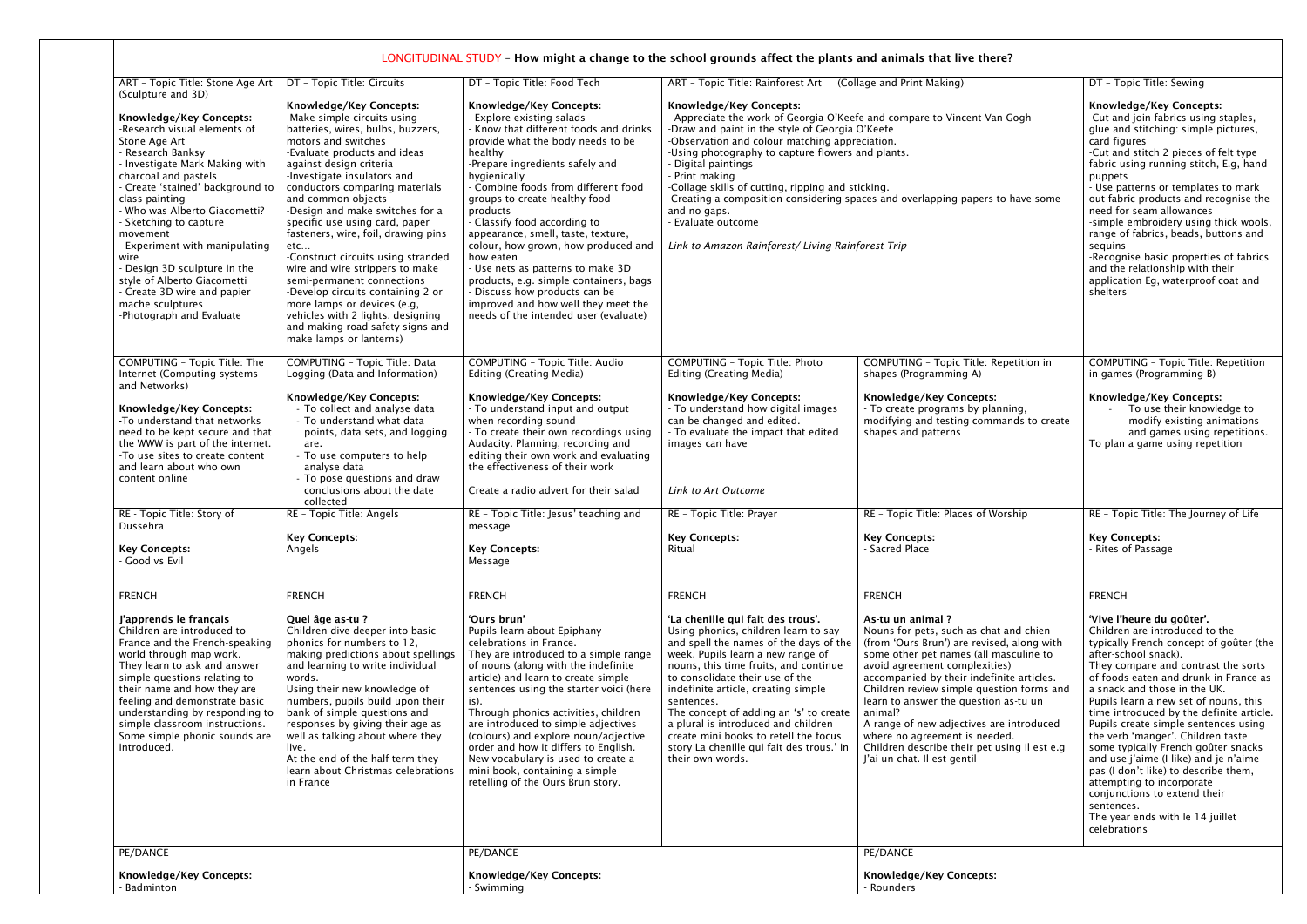| ART - Topic Title: Stone Age Art                                                                                                                                                                                                                                                                                                                                                                                                                                                                   | DT - Topic Title: Circuits                                                                                                                                                                                                                                                                                                                                                                                                                                                                                                                                                                                                                                                    | DT - Topic Title: Food Tech                                                                                                                                                                                                                                                                                                                                                                                                                                                                                                                                                                                            | ART - Topic Title: Rainforest Art                                                                                                                                                                                                                                                                                                                                                                                                                                                                                                      | (Collage and Print Making)                                                                                                                                                                                                                                                                                                                                                                                                                                                                    | DT - Topic Title: Sewing                                                                                                                                                                                                                                                                                                                                                                                                                                                                                                                                                                                                                                                |
|----------------------------------------------------------------------------------------------------------------------------------------------------------------------------------------------------------------------------------------------------------------------------------------------------------------------------------------------------------------------------------------------------------------------------------------------------------------------------------------------------|-------------------------------------------------------------------------------------------------------------------------------------------------------------------------------------------------------------------------------------------------------------------------------------------------------------------------------------------------------------------------------------------------------------------------------------------------------------------------------------------------------------------------------------------------------------------------------------------------------------------------------------------------------------------------------|------------------------------------------------------------------------------------------------------------------------------------------------------------------------------------------------------------------------------------------------------------------------------------------------------------------------------------------------------------------------------------------------------------------------------------------------------------------------------------------------------------------------------------------------------------------------------------------------------------------------|----------------------------------------------------------------------------------------------------------------------------------------------------------------------------------------------------------------------------------------------------------------------------------------------------------------------------------------------------------------------------------------------------------------------------------------------------------------------------------------------------------------------------------------|-----------------------------------------------------------------------------------------------------------------------------------------------------------------------------------------------------------------------------------------------------------------------------------------------------------------------------------------------------------------------------------------------------------------------------------------------------------------------------------------------|-------------------------------------------------------------------------------------------------------------------------------------------------------------------------------------------------------------------------------------------------------------------------------------------------------------------------------------------------------------------------------------------------------------------------------------------------------------------------------------------------------------------------------------------------------------------------------------------------------------------------------------------------------------------------|
| (Sculpture and 3D)<br>Knowledge/Key Concepts:<br>-Research visual elements of<br>Stone Age Art<br>- Research Banksy<br>- Investigate Mark Making with<br>charcoal and pastels<br>- Create 'stained' background to<br>class painting<br>- Who was Alberto Giacometti?<br>- Sketching to capture<br>movement<br>- Experiment with manipulating<br>wire<br>- Design 3D sculpture in the<br>style of Alberto Giacometti<br>- Create 3D wire and papier<br>mache sculptures<br>-Photograph and Evaluate | <b>Knowledge/Key Concepts:</b><br>-Make simple circuits using<br>batteries, wires, bulbs, buzzers,<br>motors and switches<br>-Evaluate products and ideas<br>against design criteria<br>-Investigate insulators and<br>conductors comparing materials<br>and common objects<br>-Design and make switches for a<br>specific use using card, paper<br>fasteners, wire, foil, drawing pins<br>etc<br>-Construct circuits using stranded<br>wire and wire strippers to make<br>semi-permanent connections<br>-Develop circuits containing 2 or<br>more lamps or devices (e.g,<br>vehicles with 2 lights, designing<br>and making road safety signs and<br>make lamps or lanterns) | <b>Knowledge/Key Concepts:</b><br>- Explore existing salads<br>- Know that different foods and drinks<br>provide what the body needs to be<br>healthy<br>-Prepare ingredients safely and<br>hygienically<br>- Combine foods from different food<br>groups to create healthy food<br>products<br>- Classify food according to<br>appearance, smell, taste, texture,<br>colour, how grown, how produced and<br>how eaten<br>- Use nets as patterns to make 3D<br>products, e.g. simple containers, bags<br>- Discuss how products can be<br>improved and how well they meet the<br>needs of the intended user (evaluate) | Knowledge/Key Concepts:<br>- Appreciate the work of Georgia O'Keefe and compare to Vincent Van Gogh<br>-Draw and paint in the style of Georgia O'Keefe<br>-Observation and colour matching appreciation.<br>-Using photography to capture flowers and plants.<br>Digital paintings<br>- Print making<br>-Collage skills of cutting, ripping and sticking.<br>-Creating a composition considering spaces and overlapping papers to have some<br>and no gaps.<br>- Evaluate outcome<br>Link to Amazon Rainforest/ Living Rainforest Trip |                                                                                                                                                                                                                                                                                                                                                                                                                                                                                               | <b>Knowledge/Key Concepts:</b><br>-Cut and join fabrics using staples,<br>glue and stitching: simple pictures,<br>card figures<br>-Cut and stitch 2 pieces of felt type<br>fabric using running stitch, E.g, hand<br>puppets<br>- Use patterns or templates to mark<br>out fabric products and recognise the<br>need for seam allowances<br>-simple embroidery using thick wools,<br>range of fabrics, beads, buttons and<br>sequins<br>-Recognise basic properties of fabrics<br>and the relationship with their<br>application Eg, waterproof coat and<br>shelters                                                                                                    |
| COMPUTING - Topic Title: The<br>Internet (Computing systems<br>and Networks)<br>Knowledge/Key Concepts:<br>-To understand that networks<br>need to be kept secure and that<br>the WWW is part of the internet.<br>-To use sites to create content<br>and learn about who own<br>content online                                                                                                                                                                                                     | <b>COMPUTING - Topic Title: Data</b><br>Logging (Data and Information)<br>Knowledge/Key Concepts:<br>- To collect and analyse data<br>- To understand what data<br>points, data sets, and logging<br>are.<br>- To use computers to help<br>analyse data<br>- To pose questions and draw<br>conclusions about the date                                                                                                                                                                                                                                                                                                                                                         | <b>COMPUTING - Topic Title: Audio</b><br><b>Editing (Creating Media)</b><br><b>Knowledge/Key Concepts:</b><br>- To understand input and output<br>when recording sound<br>- To create their own recordings using<br>Audacity. Planning, recording and<br>editing their own work and evaluating<br>the effectiveness of their work<br>Create a radio advert for their salad                                                                                                                                                                                                                                             | <b>COMPUTING - Topic Title: Photo</b><br>Editing (Creating Media)<br>Knowledge/Key Concepts:<br>- To understand how digital images<br>can be changed and edited.<br>- To evaluate the impact that edited<br>images can have<br>Link to Art Outcome                                                                                                                                                                                                                                                                                     | COMPUTING - Topic Title: Repetition in<br>shapes (Programming A)<br><b>Knowledge/Key Concepts:</b><br>- To create programs by planning,<br>modifying and testing commands to create<br>shapes and patterns                                                                                                                                                                                                                                                                                    | <b>COMPUTING - Topic Title: Repetition</b><br>in games (Programming B)<br><b>Knowledge/Key Concepts:</b><br>To use their knowledge to<br>modify existing animations<br>and games using repetitions.<br>To plan a game using repetition                                                                                                                                                                                                                                                                                                                                                                                                                                  |
| RE - Topic Title: Story of<br>Dussehra<br><b>Key Concepts:</b><br>- Good vs Evil                                                                                                                                                                                                                                                                                                                                                                                                                   | collected<br>RE - Topic Title: Angels<br><b>Key Concepts:</b><br>Angels                                                                                                                                                                                                                                                                                                                                                                                                                                                                                                                                                                                                       | RE - Topic Title: Jesus' teaching and<br>message<br><b>Key Concepts:</b><br>Message                                                                                                                                                                                                                                                                                                                                                                                                                                                                                                                                    | RE - Topic Title: Prayer<br><b>Key Concepts:</b><br>Ritual                                                                                                                                                                                                                                                                                                                                                                                                                                                                             | RE - Topic Title: Places of Worship<br><b>Key Concepts:</b><br>- Sacred Place                                                                                                                                                                                                                                                                                                                                                                                                                 | RE - Topic Title: The Journey of Life<br><b>Key Concepts:</b><br>- Rites of Passage                                                                                                                                                                                                                                                                                                                                                                                                                                                                                                                                                                                     |
| <b>FRENCH</b>                                                                                                                                                                                                                                                                                                                                                                                                                                                                                      | <b>FRENCH</b>                                                                                                                                                                                                                                                                                                                                                                                                                                                                                                                                                                                                                                                                 | <b>FRENCH</b>                                                                                                                                                                                                                                                                                                                                                                                                                                                                                                                                                                                                          | <b>FRENCH</b>                                                                                                                                                                                                                                                                                                                                                                                                                                                                                                                          | <b>FRENCH</b>                                                                                                                                                                                                                                                                                                                                                                                                                                                                                 | <b>FRENCH</b>                                                                                                                                                                                                                                                                                                                                                                                                                                                                                                                                                                                                                                                           |
| J'apprends le français<br>Children are introduced to<br>France and the French-speaking<br>world through map work.<br>They learn to ask and answer<br>simple questions relating to<br>their name and how they are<br>feeling and demonstrate basic<br>understanding by responding to<br>simple classroom instructions.<br>Some simple phonic sounds are<br>introduced.                                                                                                                              | Quel âge as-tu ?<br>Children dive deeper into basic<br>phonics for numbers to 12,<br>making predictions about spellings<br>and learning to write individual<br>words.<br>Using their new knowledge of<br>numbers, pupils build upon their<br>bank of simple questions and<br>responses by giving their age as<br>well as talking about where they<br>live.<br>At the end of the half term they<br>learn about Christmas celebrations<br>in France                                                                                                                                                                                                                             | 'Ours brun'<br>Pupils learn about Epiphany<br>celebrations in France.<br>They are introduced to a simple range<br>of nouns (along with the indefinite<br>article) and learn to create simple<br>sentences using the starter voici (here<br>is).<br>Through phonics activities, children<br>are introduced to simple adjectives<br>(colours) and explore noun/adjective<br>order and how it differs to English.<br>New vocabulary is used to create a<br>mini book, containing a simple<br>retelling of the Ours Brun story.                                                                                            | 'La chenille qui fait des trous'.<br>Using phonics, children learn to say<br>and spell the names of the days of the<br>week. Pupils learn a new range of<br>nouns, this time fruits, and continue<br>to consolidate their use of the<br>indefinite article, creating simple<br>sentences.<br>The concept of adding an 's' to create<br>a plural is introduced and children<br>create mini books to retell the focus<br>story La chenille qui fait des trous.' in<br>their own words.                                                   | As-tu un animal?<br>Nouns for pets, such as chat and chien<br>(from 'Ours Brun') are revised, along with<br>some other pet names (all masculine to<br>avoid agreement complexities)<br>accompanied by their indefinite articles.<br>Children review simple question forms and<br>learn to answer the question as-tu un<br>animal?<br>A range of new adjectives are introduced<br>where no agreement is needed.<br>Children describe their pet using il est e.g<br>J'ai un chat. Il est gentil | 'Vive l'heure du goûter'.<br>Children are introduced to the<br>typically French concept of goûter (the<br>after-school snack).<br>They compare and contrast the sorts<br>of foods eaten and drunk in France as<br>a snack and those in the UK.<br>Pupils learn a new set of nouns, this<br>time introduced by the definite article.<br>Pupils create simple sentences using<br>the verb 'manger'. Children taste<br>some typically French goûter snacks<br>and use j'aime (I like) and je n'aime<br>pas (I don't like) to describe them,<br>attempting to incorporate<br>conjunctions to extend their<br>sentences.<br>The year ends with le 14 juillet<br>celebrations |
| PE/DANCE                                                                                                                                                                                                                                                                                                                                                                                                                                                                                           |                                                                                                                                                                                                                                                                                                                                                                                                                                                                                                                                                                                                                                                                               | PE/DANCE                                                                                                                                                                                                                                                                                                                                                                                                                                                                                                                                                                                                               |                                                                                                                                                                                                                                                                                                                                                                                                                                                                                                                                        | PE/DANCE                                                                                                                                                                                                                                                                                                                                                                                                                                                                                      |                                                                                                                                                                                                                                                                                                                                                                                                                                                                                                                                                                                                                                                                         |
| <b>Knowledge/Key Concepts:</b><br>Badminton                                                                                                                                                                                                                                                                                                                                                                                                                                                        |                                                                                                                                                                                                                                                                                                                                                                                                                                                                                                                                                                                                                                                                               | Knowledge/Key Concepts:<br>- Swimming                                                                                                                                                                                                                                                                                                                                                                                                                                                                                                                                                                                  |                                                                                                                                                                                                                                                                                                                                                                                                                                                                                                                                        | <b>Knowledge/Key Concepts:</b><br>- Rounders                                                                                                                                                                                                                                                                                                                                                                                                                                                  |                                                                                                                                                                                                                                                                                                                                                                                                                                                                                                                                                                                                                                                                         |